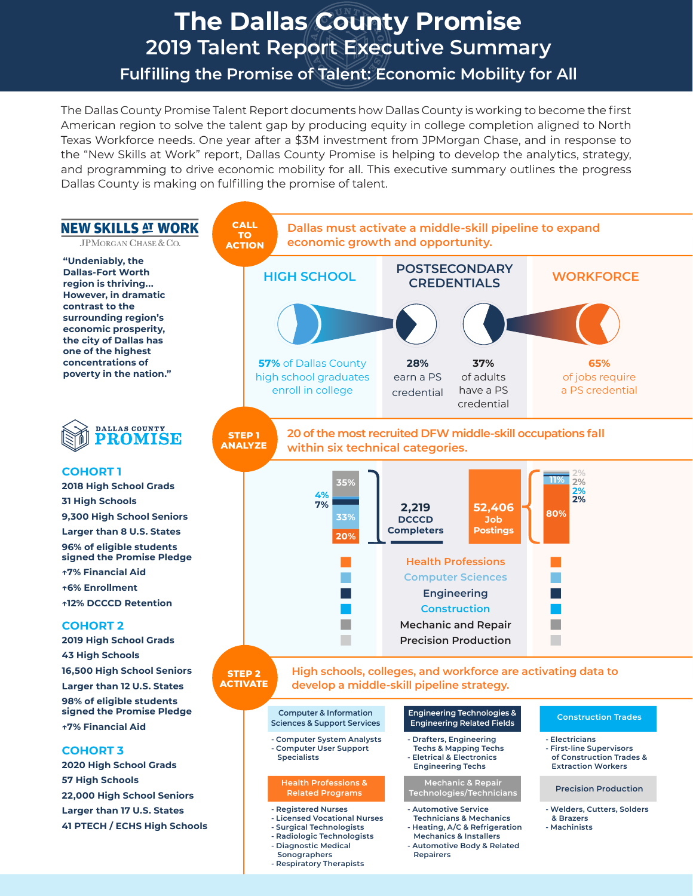# **The Dallas County Promise 2019 Talent Report Executive Summary**

**Fulflling the Promise of Talent: Economic Mobility for All**

The Dallas County Promise Talent Report documents how Dallas County is working to become the frst American region to solve the talent gap by producing equity in college completion aligned to North Texas Workforce needs. One year after a \$3M investment from JPMorgan Chase, and in response to the "New Skills at Work" report, Dallas County Promise is helping to develop the analytics, strategy, and programming to drive economic mobility for all. This executive summary outlines the progress Dallas County is making on fulfilling the promise of talent.